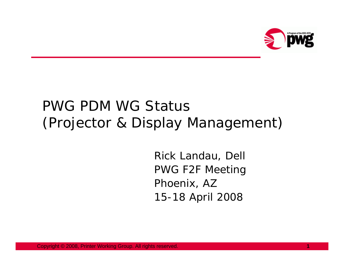

## PWG PDM WG Status(Projector & Display Management)

Rick Landau, Dell PWG F2F Meeting Phoenix, AZ 15-18 April 2008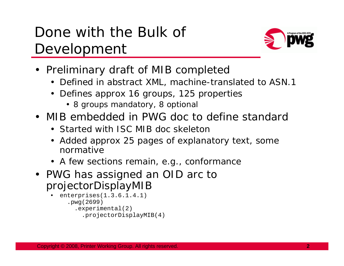## Done with the Bulk of Development



- Preliminary draft of MIB completed
	- Defined in abstract XML, machine-translated to ASN.1
	- Defines approx 16 groups, 125 properties
		- 8 groups mandatory, 8 optional
- MIB embedded in PWG doc to define standard
	- Started with ISC MIB doc skeleton
	- Added approx 25 pages of explanatory text, some normative
	- A few sections remain, e.g., conformance
- PWG has assigned an OID arc to projectorDisplayMIB

```
• enterprises(1.3.6.1.4.1)
.pwg(2699)
  .experimental(2)
     .projectorDisplayMIB(4)
```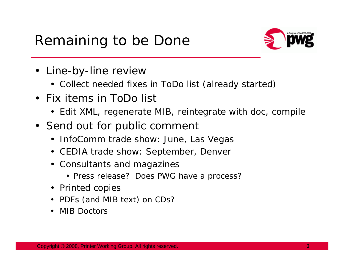## Remaining to be Done



- Line-by-line review
	- Collect needed fixes in ToDo list (already started)
- Fix items in ToDo list
	- Edit XML, regenerate MIB, reintegrate with doc, compile
- Send out for public comment
	- InfoComm trade show: June, Las Vegas
	- CEDIA trade show: September, Denver
	- Consultants and magazines
		- Press release? Does PWG have a process?
	- Printed copies
	- PDFs (and MIB text) on CDs?
	- MIB Doctors